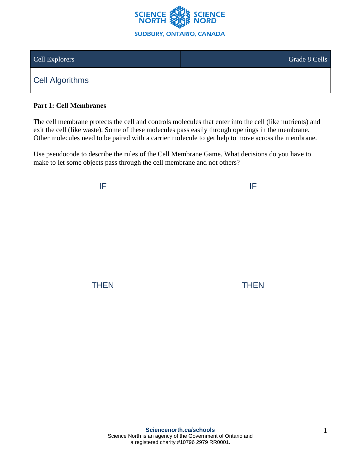

# Cell Explorers Grade 8 Cells

# Cell Algorithms

### **Part 1: Cell Membranes**

The cell membrane protects the cell and controls molecules that enter into the cell (like nutrients) and exit the cell (like waste). Some of these molecules pass easily through openings in the membrane. Other molecules need to be paired with a carrier molecule to get help to move across the membrane.

Use pseudocode to describe the rules of the Cell Membrane Game. What decisions do you have to make to let some objects pass through the cell membrane and not others?

IF It is a set of the set of the set of the set of the set of the set of the set of the set of the set of the

THEN THEN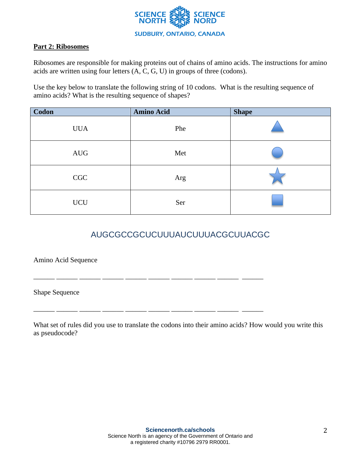

### **Part 2: Ribosomes**

Ribosomes are responsible for making proteins out of chains of amino acids. The instructions for amino acids are written using four letters (A, C, G, U) in groups of three (codons).

Use the key below to translate the following string of 10 codons. What is the resulting sequence of amino acids? What is the resulting sequence of shapes?

| Codon                       | <b>Amino Acid</b> | <b>Shape</b> |
|-----------------------------|-------------------|--------------|
| <b>UUA</b>                  | Phe               |              |
| $\operatorname{AUG}$        | Met               |              |
| CGC                         | Arg               |              |
| $\ensuremath{\mathsf{UCU}}$ | Ser               |              |

# AUGCGCCGCUCUUUAUCUUUACGCUUACGC

Amino Acid Sequence

Shape Sequence

What set of rules did you use to translate the codons into their amino acids? How would you write this as pseudocode?

\_\_\_\_\_\_ \_\_\_\_\_\_ \_\_\_\_\_\_ \_\_\_\_\_\_ \_\_\_\_\_\_ \_\_\_\_\_\_ \_\_\_\_\_\_ \_\_\_\_\_\_ \_\_\_\_\_\_ \_\_\_\_\_\_

\_\_\_\_\_\_ \_\_\_\_\_\_ \_\_\_\_\_\_ \_\_\_\_\_\_ \_\_\_\_\_\_ \_\_\_\_\_\_ \_\_\_\_\_\_ \_\_\_\_\_\_ \_\_\_\_\_\_ \_\_\_\_\_\_